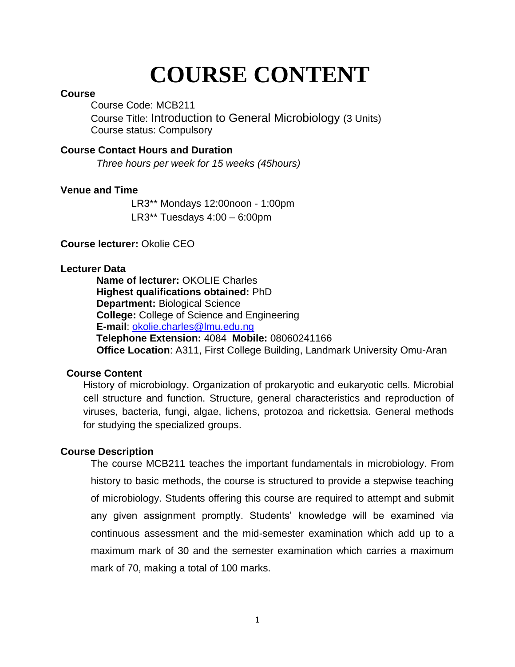# **COURSE CONTENT**

#### **Course**

Course Code: MCB211 Course Title: Introduction to General Microbiology (3 Units) Course status: Compulsory

#### **Course Contact Hours and Duration**

 *Three hours per week for 15 weeks (45hours)*

#### **Venue and Time**

LR3\*\* Mondays 12:00noon - 1:00pm LR3\*\* Tuesdays 4:00 – 6:00pm

#### **Course lecturer:** Okolie CEO

#### **Lecturer Data**

**Name of lecturer:** OKOLIE Charles **Highest qualifications obtained:** PhD **Department:** Biological Science **College:** College of Science and Engineering **E-mail**: [okolie.charles@lmu.edu.ng](mailto:okolie.charles@lmu.edu.ng) **Telephone Extension:** 4084 **Mobile:** 08060241166 **Office Location**: A311, First College Building, Landmark University Omu-Aran

#### **Course Content**

History of microbiology. Organization of prokaryotic and eukaryotic cells. Microbial cell structure and function. Structure, general characteristics and reproduction of viruses, bacteria, fungi, algae, lichens, protozoa and rickettsia. General methods for studying the specialized groups.

#### **Course Description**

The course MCB211 teaches the important fundamentals in microbiology. From history to basic methods, the course is structured to provide a stepwise teaching of microbiology. Students offering this course are required to attempt and submit any given assignment promptly. Students' knowledge will be examined via continuous assessment and the mid-semester examination which add up to a maximum mark of 30 and the semester examination which carries a maximum mark of 70, making a total of 100 marks.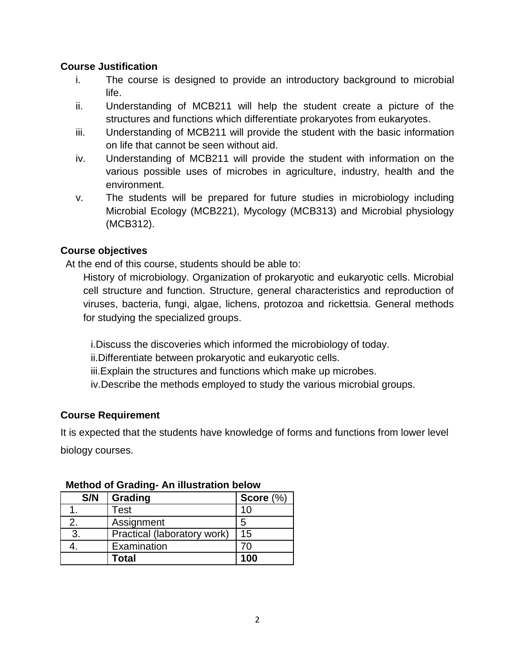#### **Course Justification**

- i. The course is designed to provide an introductory background to microbial life.
- ii. Understanding of MCB211 will help the student create a picture of the structures and functions which differentiate prokaryotes from eukaryotes.
- iii. Understanding of MCB211 will provide the student with the basic information on life that cannot be seen without aid.
- iv. Understanding of MCB211 will provide the student with information on the various possible uses of microbes in agriculture, industry, health and the environment.
- v. The students will be prepared for future studies in microbiology including Microbial Ecology (MCB221), Mycology (MCB313) and Microbial physiology (MCB312).

#### **Course objectives**

At the end of this course, students should be able to:

History of microbiology. Organization of prokaryotic and eukaryotic cells. Microbial cell structure and function. Structure, general characteristics and reproduction of viruses, bacteria, fungi, algae, lichens, protozoa and rickettsia. General methods for studying the specialized groups.

i.Discuss the discoveries which informed the microbiology of today.

ii.Differentiate between prokaryotic and eukaryotic cells.

iii.Explain the structures and functions which make up microbes.

iv.Describe the methods employed to study the various microbial groups.

#### **Course Requirement**

It is expected that the students have knowledge of forms and functions from lower level biology courses.

| S/N | <b>Grading</b>              | Score $(\%)$ |
|-----|-----------------------------|--------------|
|     | Test                        | 10           |
| 2.  | Assignment                  | 5            |
| 3.  | Practical (laboratory work) | 15           |
|     | Examination                 | 7Λ           |
|     | Total                       | 100          |

#### **Method of Grading- An illustration below**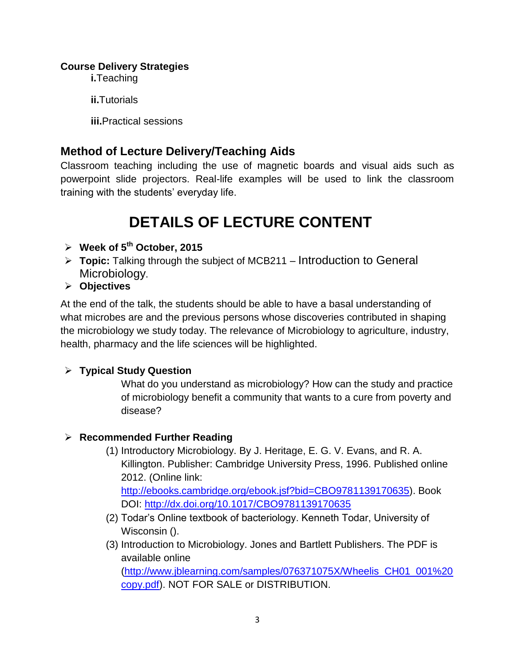#### **Course Delivery Strategies**

**i.**Teaching

**ii.**Tutorials

**iii.**Practical sessions

# **Method of Lecture Delivery/Teaching Aids**

Classroom teaching including the use of magnetic boards and visual aids such as powerpoint slide projectors. Real-life examples will be used to link the classroom training with the students' everyday life.

# **DETAILS OF LECTURE CONTENT**

- **Week of 5th October, 2015**
- **Topic:** Talking through the subject of MCB211 Introduction to General Microbiology.
- **Objectives**

At the end of the talk, the students should be able to have a basal understanding of what microbes are and the previous persons whose discoveries contributed in shaping the microbiology we study today. The relevance of Microbiology to agriculture, industry, health, pharmacy and the life sciences will be highlighted.

# **Typical Study Question**

What do you understand as microbiology? How can the study and practice of microbiology benefit a community that wants to a cure from poverty and disease?

# **Recommended Further Reading**

- (1) Introductory Microbiology. By J. Heritage, E. G. V. Evans, and R. A. Killington. Publisher: Cambridge University Press, 1996. Published online 2012. (Online link: [http://ebooks.cambridge.org/ebook.jsf?bid=CBO9781139170635\)](http://ebooks.cambridge.org/ebook.jsf?bid=CBO9781139170635). Book DOI:<http://dx.doi.org/10.1017/CBO9781139170635>
- (2) Todar's Online textbook of bacteriology. Kenneth Todar, University of Wisconsin ().
- (3) Introduction to Microbiology. Jones and Bartlett Publishers. The PDF is available online [\(http://www.jblearning.com/samples/076371075X/Wheelis\\_CH01\\_001%20](http://www.jblearning.com/samples/076371075X/Wheelis_CH01_001%20copy.pdf)

[copy.pdf\)](http://www.jblearning.com/samples/076371075X/Wheelis_CH01_001%20copy.pdf). NOT FOR SALE or DISTRIBUTION.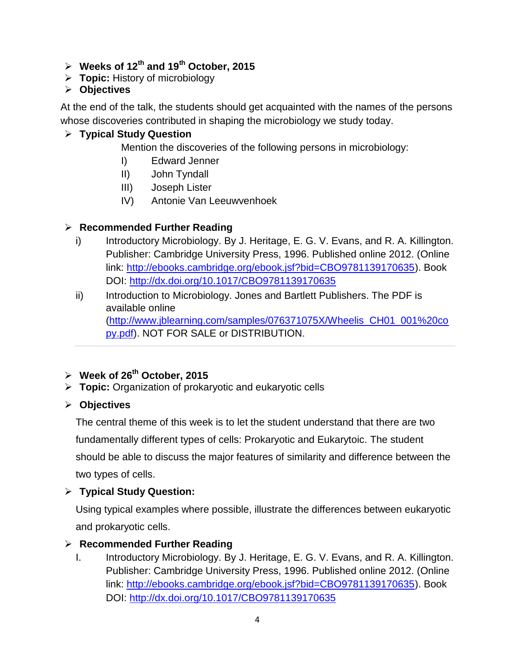- **Weeks of 12 th and 19th October, 2015**
- **Topic:** History of microbiology

# **Objectives**

At the end of the talk, the students should get acquainted with the names of the persons whose discoveries contributed in shaping the microbiology we study today.

# **Typical Study Question**

Mention the discoveries of the following persons in microbiology:

- I) Edward Jenner
- II) John Tyndall
- III) Joseph Lister
- IV) Antonie Van Leeuwvenhoek

# **Recommended Further Reading**

- i) Introductory Microbiology. By J. Heritage, E. G. V. Evans, and R. A. Killington. Publisher: Cambridge University Press, 1996. Published online 2012. (Online link: [http://ebooks.cambridge.org/ebook.jsf?bid=CBO9781139170635\)](http://ebooks.cambridge.org/ebook.jsf?bid=CBO9781139170635). Book DOI:<http://dx.doi.org/10.1017/CBO9781139170635>
- ii) Introduction to Microbiology. Jones and Bartlett Publishers. The PDF is available online [\(http://www.jblearning.com/samples/076371075X/Wheelis\\_CH01\\_001%20co](http://www.jblearning.com/samples/076371075X/Wheelis_CH01_001%20copy.pdf) [py.pdf\)](http://www.jblearning.com/samples/076371075X/Wheelis_CH01_001%20copy.pdf). NOT FOR SALE or DISTRIBUTION.

# **Week of 26th October, 2015**

**Topic:** Organization of prokaryotic and eukaryotic cells

# **Objectives**

The central theme of this week is to let the student understand that there are two fundamentally different types of cells: Prokaryotic and Eukarytoic. The student should be able to discuss the major features of similarity and difference between the two types of cells.

# **Typical Study Question:**

Using typical examples where possible, illustrate the differences between eukaryotic and prokaryotic cells.

# **Recommended Further Reading**

I. Introductory Microbiology. By J. Heritage, E. G. V. Evans, and R. A. Killington. Publisher: Cambridge University Press, 1996. Published online 2012. (Online link: [http://ebooks.cambridge.org/ebook.jsf?bid=CBO9781139170635\)](http://ebooks.cambridge.org/ebook.jsf?bid=CBO9781139170635). Book DOI:<http://dx.doi.org/10.1017/CBO9781139170635>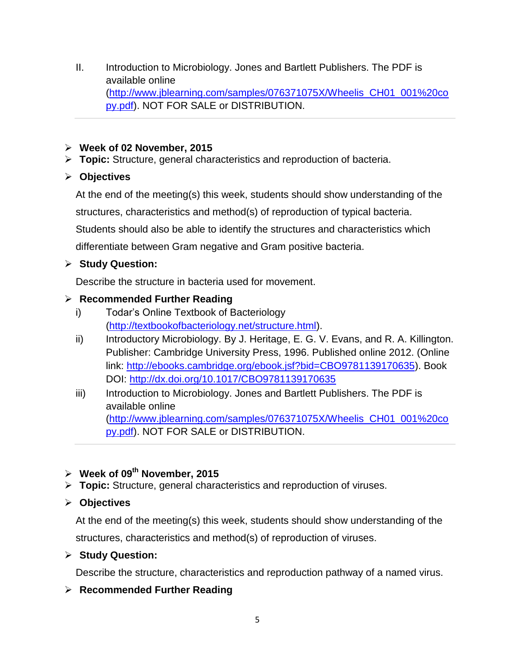- II. Introduction to Microbiology. Jones and Bartlett Publishers. The PDF is available online [\(http://www.jblearning.com/samples/076371075X/Wheelis\\_CH01\\_001%20co](http://www.jblearning.com/samples/076371075X/Wheelis_CH01_001%20copy.pdf) [py.pdf\)](http://www.jblearning.com/samples/076371075X/Wheelis_CH01_001%20copy.pdf). NOT FOR SALE or DISTRIBUTION.
- **Week of 02 November, 2015**
- **Topic:** Structure, general characteristics and reproduction of bacteria.
- **Objectives**

At the end of the meeting(s) this week, students should show understanding of the structures, characteristics and method(s) of reproduction of typical bacteria. Students should also be able to identify the structures and characteristics which differentiate between Gram negative and Gram positive bacteria.

# **Study Question:**

Describe the structure in bacteria used for movement.

# **Recommended Further Reading**

- i) Todar's Online Textbook of Bacteriology [\(http://textbookofbacteriology.net/structure.html\)](http://textbookofbacteriology.net/structure.html).
- ii) Introductory Microbiology. By J. Heritage, E. G. V. Evans, and R. A. Killington. Publisher: Cambridge University Press, 1996. Published online 2012. (Online link: [http://ebooks.cambridge.org/ebook.jsf?bid=CBO9781139170635\)](http://ebooks.cambridge.org/ebook.jsf?bid=CBO9781139170635). Book DOI:<http://dx.doi.org/10.1017/CBO9781139170635>
- iii) Introduction to Microbiology. Jones and Bartlett Publishers. The PDF is available online [\(http://www.jblearning.com/samples/076371075X/Wheelis\\_CH01\\_001%20co](http://www.jblearning.com/samples/076371075X/Wheelis_CH01_001%20copy.pdf) [py.pdf\)](http://www.jblearning.com/samples/076371075X/Wheelis_CH01_001%20copy.pdf). NOT FOR SALE or DISTRIBUTION.

# **Week of 09 th November, 2015**

**Topic:** Structure, general characteristics and reproduction of viruses.

# **Objectives**

At the end of the meeting(s) this week, students should show understanding of the structures, characteristics and method(s) of reproduction of viruses.

# **Study Question:**

Describe the structure, characteristics and reproduction pathway of a named virus.

# **Recommended Further Reading**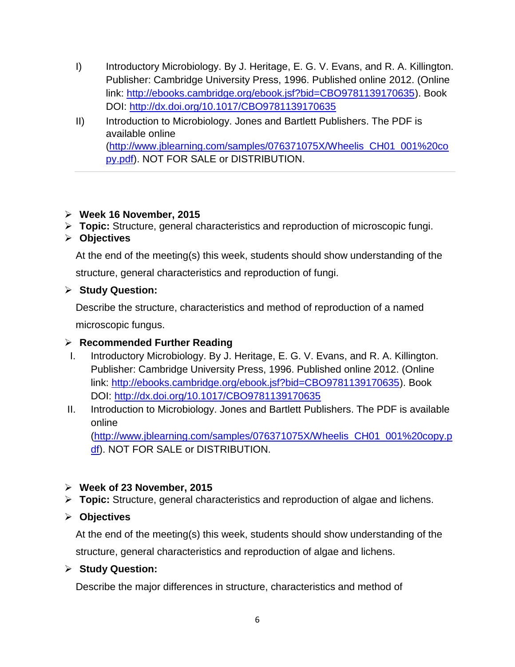- I) Introductory Microbiology. By J. Heritage, E. G. V. Evans, and R. A. Killington. Publisher: Cambridge University Press, 1996. Published online 2012. (Online link: [http://ebooks.cambridge.org/ebook.jsf?bid=CBO9781139170635\)](http://ebooks.cambridge.org/ebook.jsf?bid=CBO9781139170635). Book DOI:<http://dx.doi.org/10.1017/CBO9781139170635>
- II) Introduction to Microbiology. Jones and Bartlett Publishers. The PDF is available online [\(http://www.jblearning.com/samples/076371075X/Wheelis\\_CH01\\_001%20co](http://www.jblearning.com/samples/076371075X/Wheelis_CH01_001%20copy.pdf) [py.pdf\)](http://www.jblearning.com/samples/076371075X/Wheelis_CH01_001%20copy.pdf). NOT FOR SALE or DISTRIBUTION.

#### **Week 16 November, 2015**

- **Topic:** Structure, general characteristics and reproduction of microscopic fungi.
- **Objectives**

At the end of the meeting(s) this week, students should show understanding of the

structure, general characteristics and reproduction of fungi.

#### **Study Question:**

Describe the structure, characteristics and method of reproduction of a named microscopic fungus.

#### **Recommended Further Reading**

- I. Introductory Microbiology. By J. Heritage, E. G. V. Evans, and R. A. Killington. Publisher: Cambridge University Press, 1996. Published online 2012. (Online link: [http://ebooks.cambridge.org/ebook.jsf?bid=CBO9781139170635\)](http://ebooks.cambridge.org/ebook.jsf?bid=CBO9781139170635). Book DOI:<http://dx.doi.org/10.1017/CBO9781139170635>
- II. Introduction to Microbiology. Jones and Bartlett Publishers. The PDF is available online

[\(http://www.jblearning.com/samples/076371075X/Wheelis\\_CH01\\_001%20copy.p](http://www.jblearning.com/samples/076371075X/Wheelis_CH01_001%20copy.pdf) [df\)](http://www.jblearning.com/samples/076371075X/Wheelis_CH01_001%20copy.pdf). NOT FOR SALE or DISTRIBUTION.

#### **Week of 23 November, 2015**

**Topic:** Structure, general characteristics and reproduction of algae and lichens.

#### **Objectives**

At the end of the meeting(s) this week, students should show understanding of the structure, general characteristics and reproduction of algae and lichens.

#### **Study Question:**

Describe the major differences in structure, characteristics and method of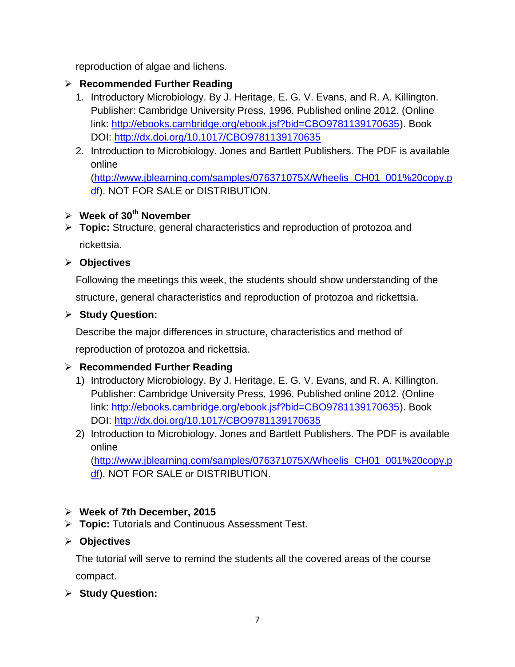reproduction of algae and lichens.

# **Recommended Further Reading**

- 1. Introductory Microbiology. By J. Heritage, E. G. V. Evans, and R. A. Killington. Publisher: Cambridge University Press, 1996. Published online 2012. (Online link: [http://ebooks.cambridge.org/ebook.jsf?bid=CBO9781139170635\)](http://ebooks.cambridge.org/ebook.jsf?bid=CBO9781139170635). Book DOI:<http://dx.doi.org/10.1017/CBO9781139170635>
- 2. Introduction to Microbiology. Jones and Bartlett Publishers. The PDF is available online

[\(http://www.jblearning.com/samples/076371075X/Wheelis\\_CH01\\_001%20copy.p](http://www.jblearning.com/samples/076371075X/Wheelis_CH01_001%20copy.pdf) [df\)](http://www.jblearning.com/samples/076371075X/Wheelis_CH01_001%20copy.pdf). NOT FOR SALE or DISTRIBUTION.

# **Week of 30 th November**

 **Topic:** Structure, general characteristics and reproduction of protozoa and rickettsia.

**Objectives**

Following the meetings this week, the students should show understanding of the structure, general characteristics and reproduction of protozoa and rickettsia.

# **Study Question:**

Describe the major differences in structure, characteristics and method of

reproduction of protozoa and rickettsia.

# **Recommended Further Reading**

- 1) Introductory Microbiology. By J. Heritage, E. G. V. Evans, and R. A. Killington. Publisher: Cambridge University Press, 1996. Published online 2012. (Online link: [http://ebooks.cambridge.org/ebook.jsf?bid=CBO9781139170635\)](http://ebooks.cambridge.org/ebook.jsf?bid=CBO9781139170635). Book DOI:<http://dx.doi.org/10.1017/CBO9781139170635>
- 2) Introduction to Microbiology. Jones and Bartlett Publishers. The PDF is available online

[\(http://www.jblearning.com/samples/076371075X/Wheelis\\_CH01\\_001%20copy.p](http://www.jblearning.com/samples/076371075X/Wheelis_CH01_001%20copy.pdf) [df\)](http://www.jblearning.com/samples/076371075X/Wheelis_CH01_001%20copy.pdf). NOT FOR SALE or DISTRIBUTION.

# **Week of 7th December, 2015**

**Topic:** Tutorials and Continuous Assessment Test.

# **Objectives**

The tutorial will serve to remind the students all the covered areas of the course compact.

**Study Question:**